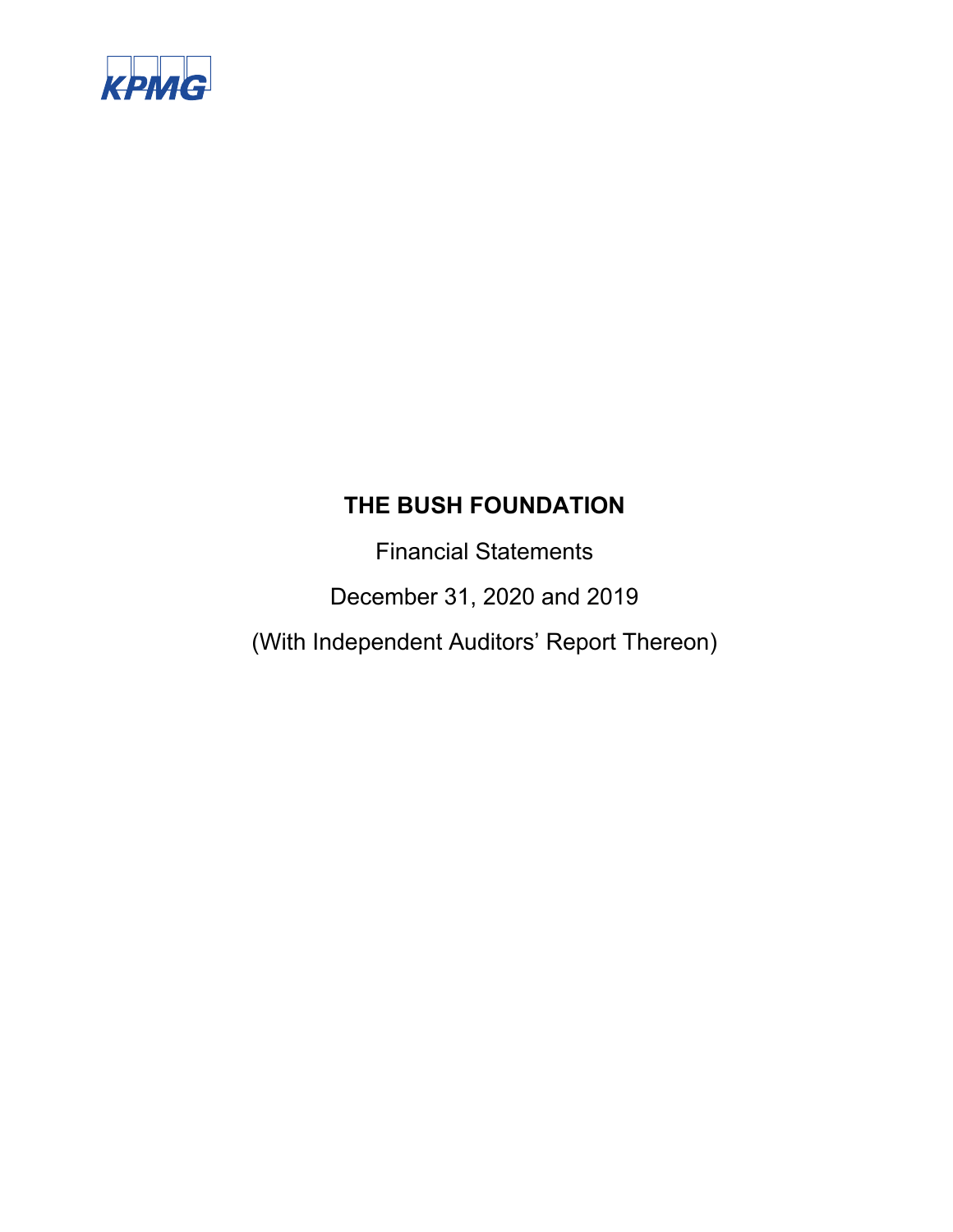

Financial Statements

December 31, 2020 and 2019

(With Independent Auditors' Report Thereon)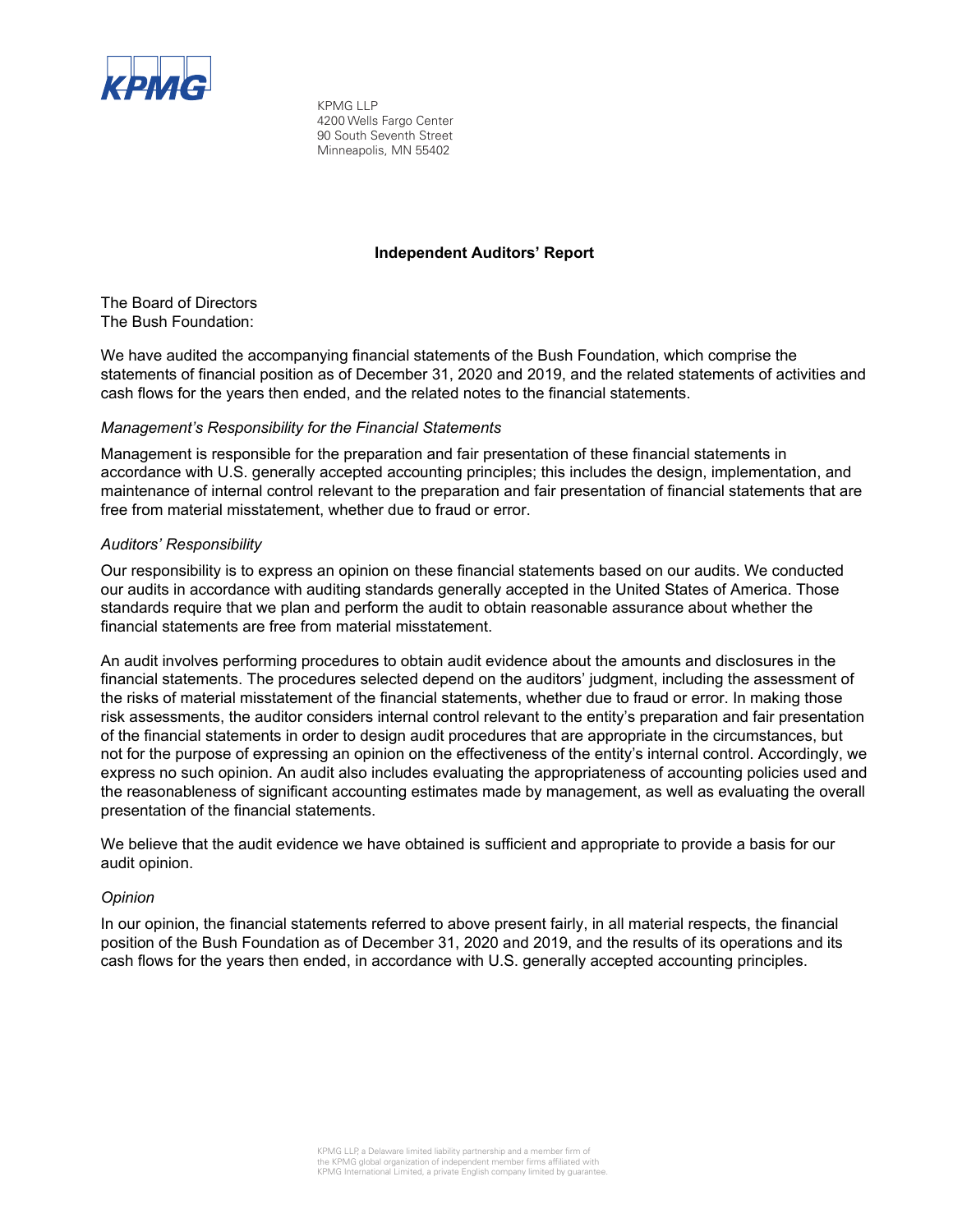

KPMG LLP 4200 Wells Fargo Center 90 South Seventh Street Minneapolis, MN 55402

### **Independent Auditors' Report**

The Board of Directors The Bush Foundation:

We have audited the accompanying financial statements of the Bush Foundation, which comprise the statements of financial position as of December 31, 2020 and 2019, and the related statements of activities and cash flows for the years then ended, and the related notes to the financial statements.

### *Management's Responsibility for the Financial Statements*

Management is responsible for the preparation and fair presentation of these financial statements in accordance with U.S. generally accepted accounting principles; this includes the design, implementation, and maintenance of internal control relevant to the preparation and fair presentation of financial statements that are free from material misstatement, whether due to fraud or error.

### *Auditors' Responsibility*

Our responsibility is to express an opinion on these financial statements based on our audits. We conducted our audits in accordance with auditing standards generally accepted in the United States of America. Those standards require that we plan and perform the audit to obtain reasonable assurance about whether the financial statements are free from material misstatement.

An audit involves performing procedures to obtain audit evidence about the amounts and disclosures in the financial statements. The procedures selected depend on the auditors' judgment, including the assessment of the risks of material misstatement of the financial statements, whether due to fraud or error. In making those risk assessments, the auditor considers internal control relevant to the entity's preparation and fair presentation of the financial statements in order to design audit procedures that are appropriate in the circumstances, but not for the purpose of expressing an opinion on the effectiveness of the entity's internal control. Accordingly, we express no such opinion. An audit also includes evaluating the appropriateness of accounting policies used and the reasonableness of significant accounting estimates made by management, as well as evaluating the overall presentation of the financial statements.

We believe that the audit evidence we have obtained is sufficient and appropriate to provide a basis for our audit opinion.

### *Opinion*

In our opinion, the financial statements referred to above present fairly, in all material respects, the financial position of the Bush Foundation as of December 31, 2020 and 2019, and the results of its operations and its cash flows for the years then ended, in accordance with U.S. generally accepted accounting principles.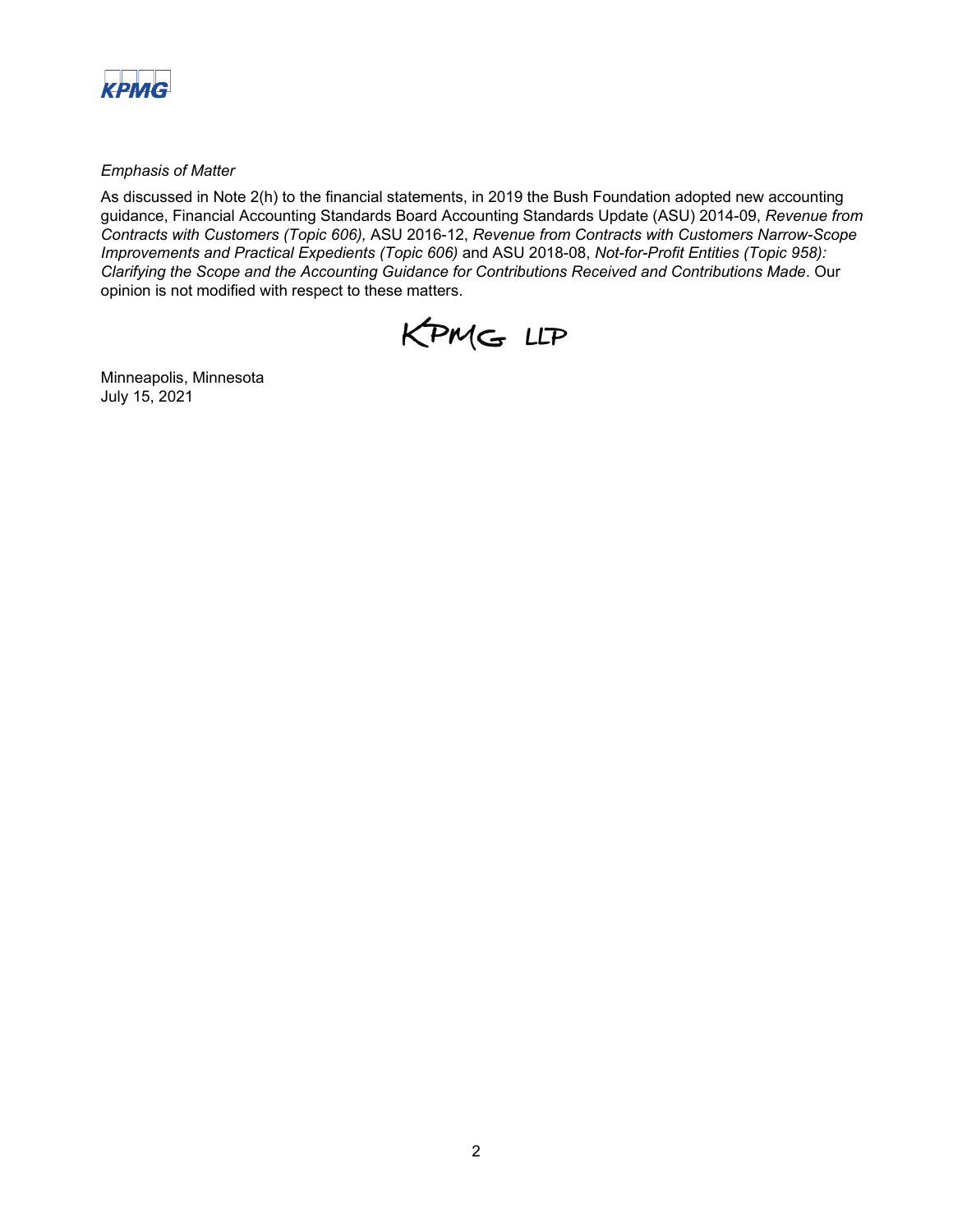

*Emphasis of Matter* 

As discussed in Note 2(h) to the financial statements, in 2019 the Bush Foundation adopted new accounting guidance, Financial Accounting Standards Board Accounting Standards Update (ASU) 2014-09, *Revenue from Contracts with Customers (Topic 606),* ASU 2016-12, *Revenue from Contracts with Customers Narrow-Scope Improvements and Practical Expedients (Topic 606)* and ASU 2018-08, *Not-for-Profit Entities (Topic 958): Clarifying the Scope and the Accounting Guidance for Contributions Received and Contributions Made*. Our opinion is not modified with respect to these matters.



Minneapolis, Minnesota July 15, 2021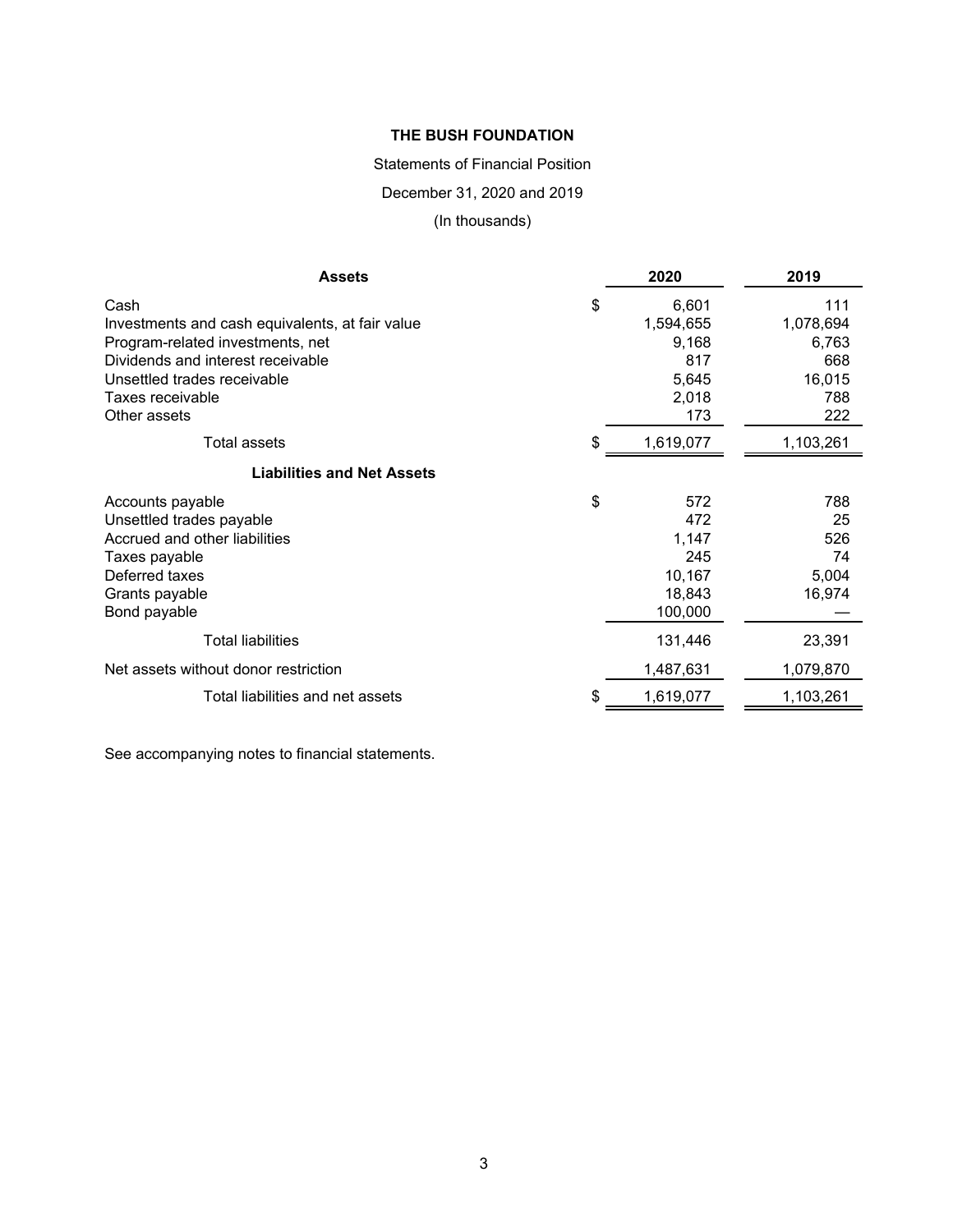### Statements of Financial Position

December 31, 2020 and 2019

(In thousands)

| <b>Assets</b>                                   | 2020            | 2019      |
|-------------------------------------------------|-----------------|-----------|
| Cash                                            | \$<br>6,601     | 111       |
| Investments and cash equivalents, at fair value | 1,594,655       | 1,078,694 |
| Program-related investments, net                | 9,168           | 6,763     |
| Dividends and interest receivable               | 817             | 668       |
| Unsettled trades receivable                     | 5,645           | 16,015    |
| Taxes receivable                                | 2,018           | 788       |
| Other assets                                    | 173             | 222       |
| <b>Total assets</b>                             | \$<br>1,619,077 | 1,103,261 |
| <b>Liabilities and Net Assets</b>               |                 |           |
| Accounts payable                                | \$<br>572       | 788       |
| Unsettled trades payable                        | 472             | 25        |
| Accrued and other liabilities                   | 1,147           | 526       |
| Taxes payable                                   | 245             | 74        |
| Deferred taxes                                  | 10,167          | 5,004     |
| Grants payable                                  | 18,843          | 16,974    |
| Bond payable                                    | 100,000         |           |
| <b>Total liabilities</b>                        | 131,446         | 23,391    |
| Net assets without donor restriction            | 1,487,631       | 1,079,870 |
| Total liabilities and net assets                | \$<br>1,619,077 | 1,103,261 |

See accompanying notes to financial statements.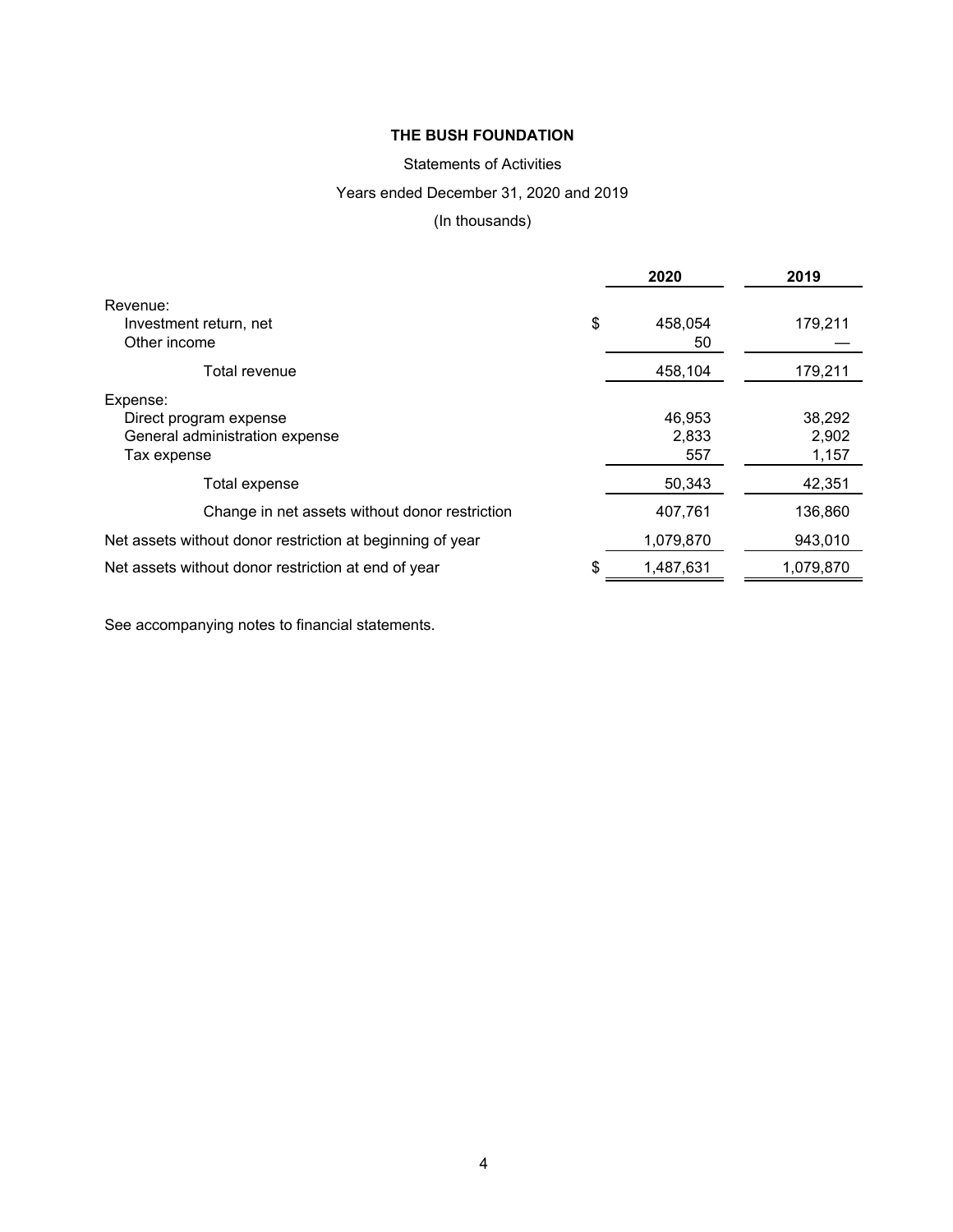# Statements of Activities

# Years ended December 31, 2020 and 2019

(In thousands)

|                                                           | 2020                | 2019      |
|-----------------------------------------------------------|---------------------|-----------|
| Revenue:                                                  |                     |           |
| Investment return, net<br>Other income                    | \$<br>458,054<br>50 | 179,211   |
|                                                           |                     |           |
| Total revenue                                             | 458,104             | 179,211   |
| Expense:                                                  |                     |           |
| Direct program expense                                    | 46,953              | 38,292    |
| General administration expense                            | 2,833               | 2,902     |
| Tax expense                                               | 557                 | 1,157     |
| Total expense                                             | 50,343              | 42,351    |
| Change in net assets without donor restriction            | 407,761             | 136,860   |
| Net assets without donor restriction at beginning of year | 1,079,870           | 943,010   |
| Net assets without donor restriction at end of year       | \$<br>1,487,631     | 1,079,870 |

See accompanying notes to financial statements.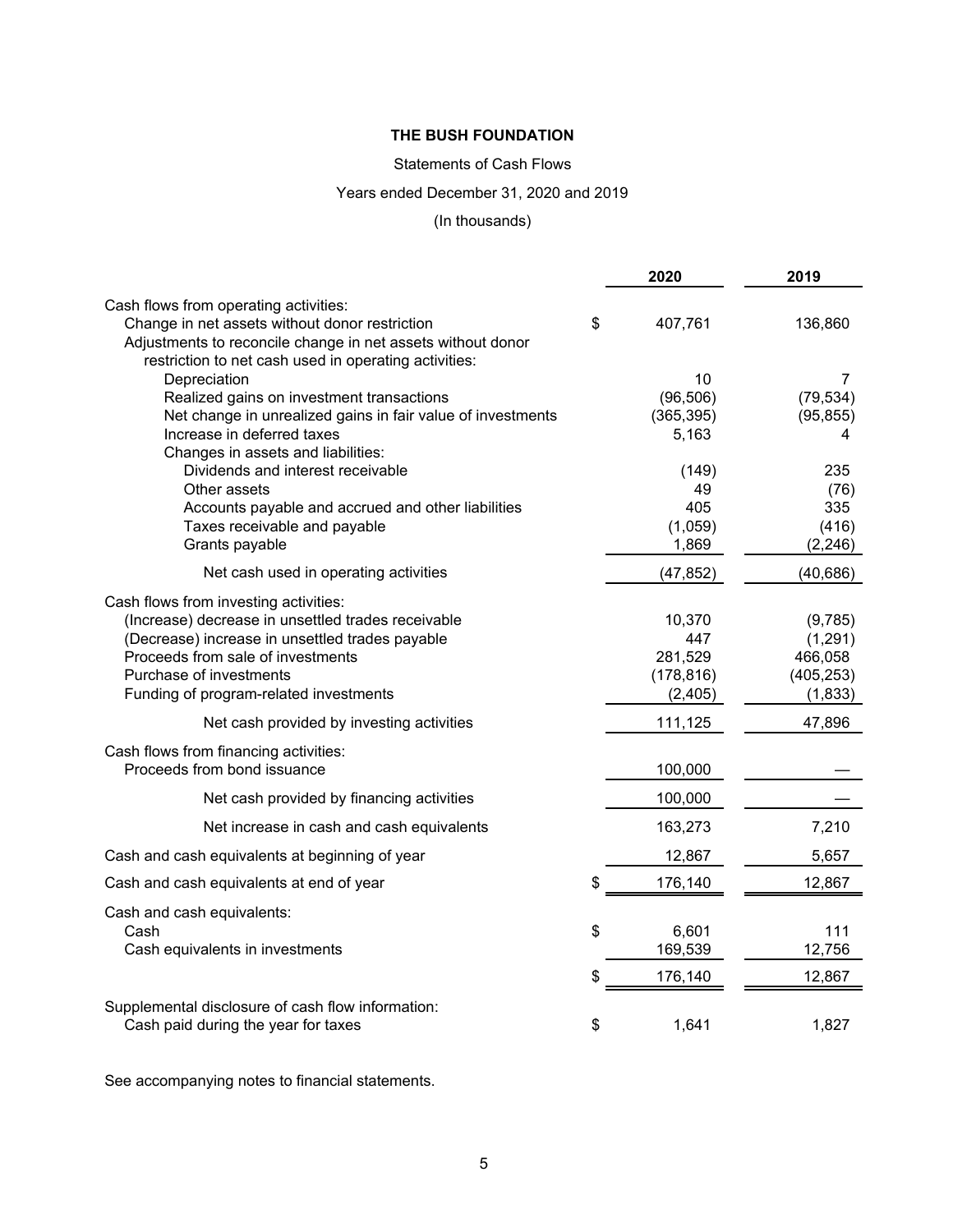# Statements of Cash Flows

# Years ended December 31, 2020 and 2019

# (In thousands)

|                                                                                                                                                                        | 2020                | 2019               |
|------------------------------------------------------------------------------------------------------------------------------------------------------------------------|---------------------|--------------------|
| Cash flows from operating activities:                                                                                                                                  |                     |                    |
| Change in net assets without donor restriction<br>Adjustments to reconcile change in net assets without donor<br>restriction to net cash used in operating activities: | \$<br>407,761       | 136,860            |
| Depreciation                                                                                                                                                           | 10                  | $\overline{7}$     |
| Realized gains on investment transactions                                                                                                                              | (96, 506)           | (79, 534)          |
| Net change in unrealized gains in fair value of investments<br>Increase in deferred taxes                                                                              | (365, 395)<br>5,163 | (95, 855)<br>4     |
| Changes in assets and liabilities:                                                                                                                                     |                     |                    |
| Dividends and interest receivable<br>Other assets                                                                                                                      | (149)<br>49         | 235<br>(76)        |
| Accounts payable and accrued and other liabilities                                                                                                                     | 405                 | 335                |
| Taxes receivable and payable                                                                                                                                           | (1,059)             | (416)              |
| Grants payable                                                                                                                                                         | 1,869               | (2, 246)           |
| Net cash used in operating activities                                                                                                                                  | (47, 852)           | (40, 686)          |
| Cash flows from investing activities:                                                                                                                                  |                     |                    |
| (Increase) decrease in unsettled trades receivable<br>(Decrease) increase in unsettled trades payable                                                                  | 10,370<br>447       | (9,785)            |
| Proceeds from sale of investments                                                                                                                                      | 281,529             | (1,291)<br>466,058 |
| Purchase of investments                                                                                                                                                | (178, 816)          | (405, 253)         |
| Funding of program-related investments                                                                                                                                 | (2, 405)            | (1, 833)           |
| Net cash provided by investing activities                                                                                                                              | 111,125             | 47,896             |
| Cash flows from financing activities:<br>Proceeds from bond issuance                                                                                                   | 100,000             |                    |
| Net cash provided by financing activities                                                                                                                              | 100,000             |                    |
| Net increase in cash and cash equivalents                                                                                                                              | 163,273             | 7,210              |
| Cash and cash equivalents at beginning of year                                                                                                                         | 12,867              | 5,657              |
| Cash and cash equivalents at end of year                                                                                                                               | \$<br>176,140       | 12,867             |
| Cash and cash equivalents:                                                                                                                                             |                     |                    |
| Cash                                                                                                                                                                   | \$<br>6,601         | 111                |
| Cash equivalents in investments                                                                                                                                        | 169,539             | 12,756             |
|                                                                                                                                                                        | \$<br>176,140       | 12,867             |
| Supplemental disclosure of cash flow information:                                                                                                                      |                     |                    |
| Cash paid during the year for taxes                                                                                                                                    | \$<br>1,641         | 1,827              |

See accompanying notes to financial statements.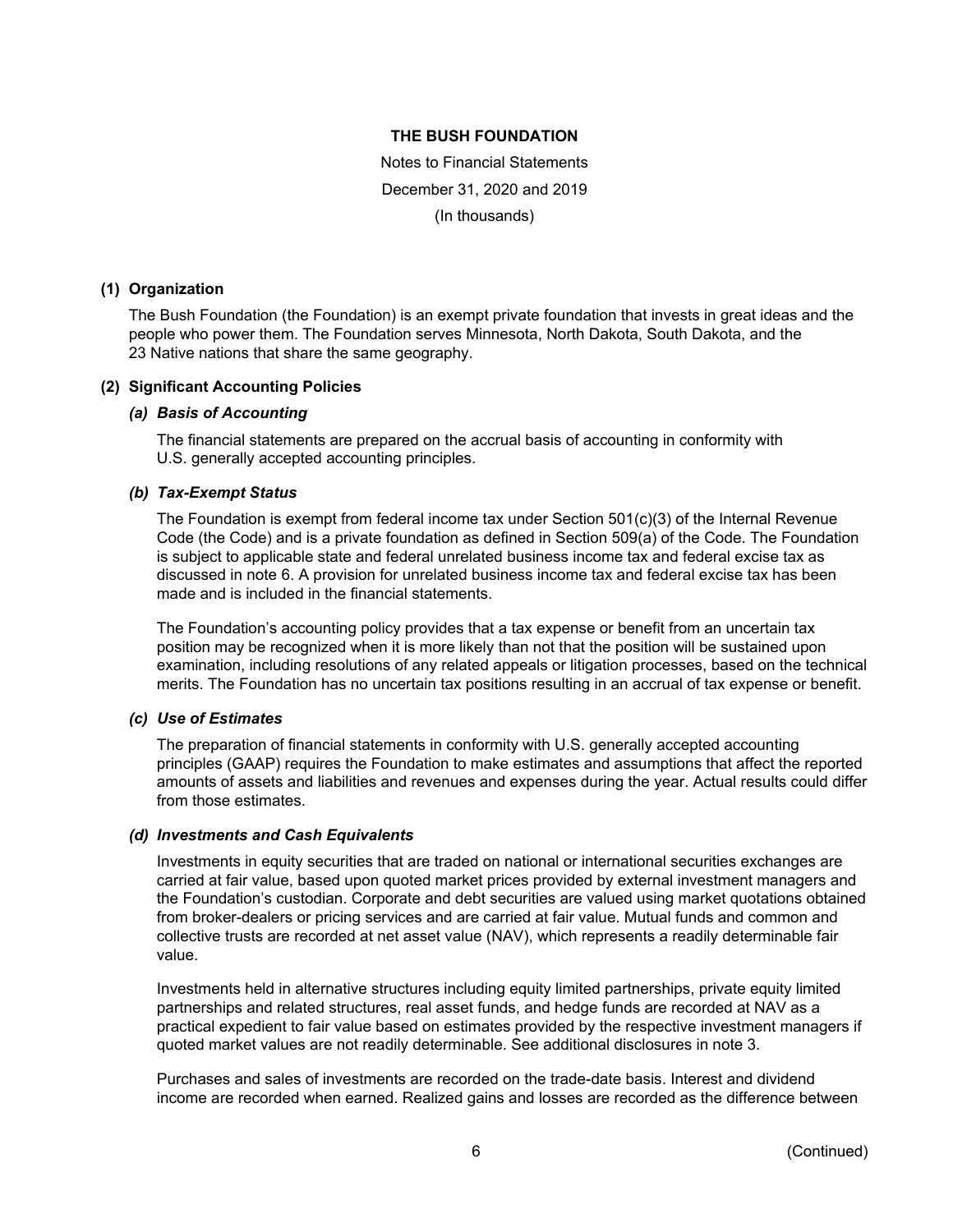Notes to Financial Statements December 31, 2020 and 2019 (In thousands)

### **(1) Organization**

The Bush Foundation (the Foundation) is an exempt private foundation that invests in great ideas and the people who power them. The Foundation serves Minnesota, North Dakota, South Dakota, and the 23 Native nations that share the same geography.

### **(2) Significant Accounting Policies**

### *(a) Basis of Accounting*

The financial statements are prepared on the accrual basis of accounting in conformity with U.S. generally accepted accounting principles.

### *(b) Tax-Exempt Status*

The Foundation is exempt from federal income tax under Section 501(c)(3) of the Internal Revenue Code (the Code) and is a private foundation as defined in Section 509(a) of the Code. The Foundation is subject to applicable state and federal unrelated business income tax and federal excise tax as discussed in note 6. A provision for unrelated business income tax and federal excise tax has been made and is included in the financial statements.

The Foundation's accounting policy provides that a tax expense or benefit from an uncertain tax position may be recognized when it is more likely than not that the position will be sustained upon examination, including resolutions of any related appeals or litigation processes, based on the technical merits. The Foundation has no uncertain tax positions resulting in an accrual of tax expense or benefit.

# *(c) Use of Estimates*

The preparation of financial statements in conformity with U.S. generally accepted accounting principles (GAAP) requires the Foundation to make estimates and assumptions that affect the reported amounts of assets and liabilities and revenues and expenses during the year. Actual results could differ from those estimates.

### *(d) Investments and Cash Equivalents*

Investments in equity securities that are traded on national or international securities exchanges are carried at fair value, based upon quoted market prices provided by external investment managers and the Foundation's custodian. Corporate and debt securities are valued using market quotations obtained from broker-dealers or pricing services and are carried at fair value. Mutual funds and common and collective trusts are recorded at net asset value (NAV), which represents a readily determinable fair value.

Investments held in alternative structures including equity limited partnerships, private equity limited partnerships and related structures, real asset funds, and hedge funds are recorded at NAV as a practical expedient to fair value based on estimates provided by the respective investment managers if quoted market values are not readily determinable. See additional disclosures in note 3.

Purchases and sales of investments are recorded on the trade-date basis. Interest and dividend income are recorded when earned. Realized gains and losses are recorded as the difference between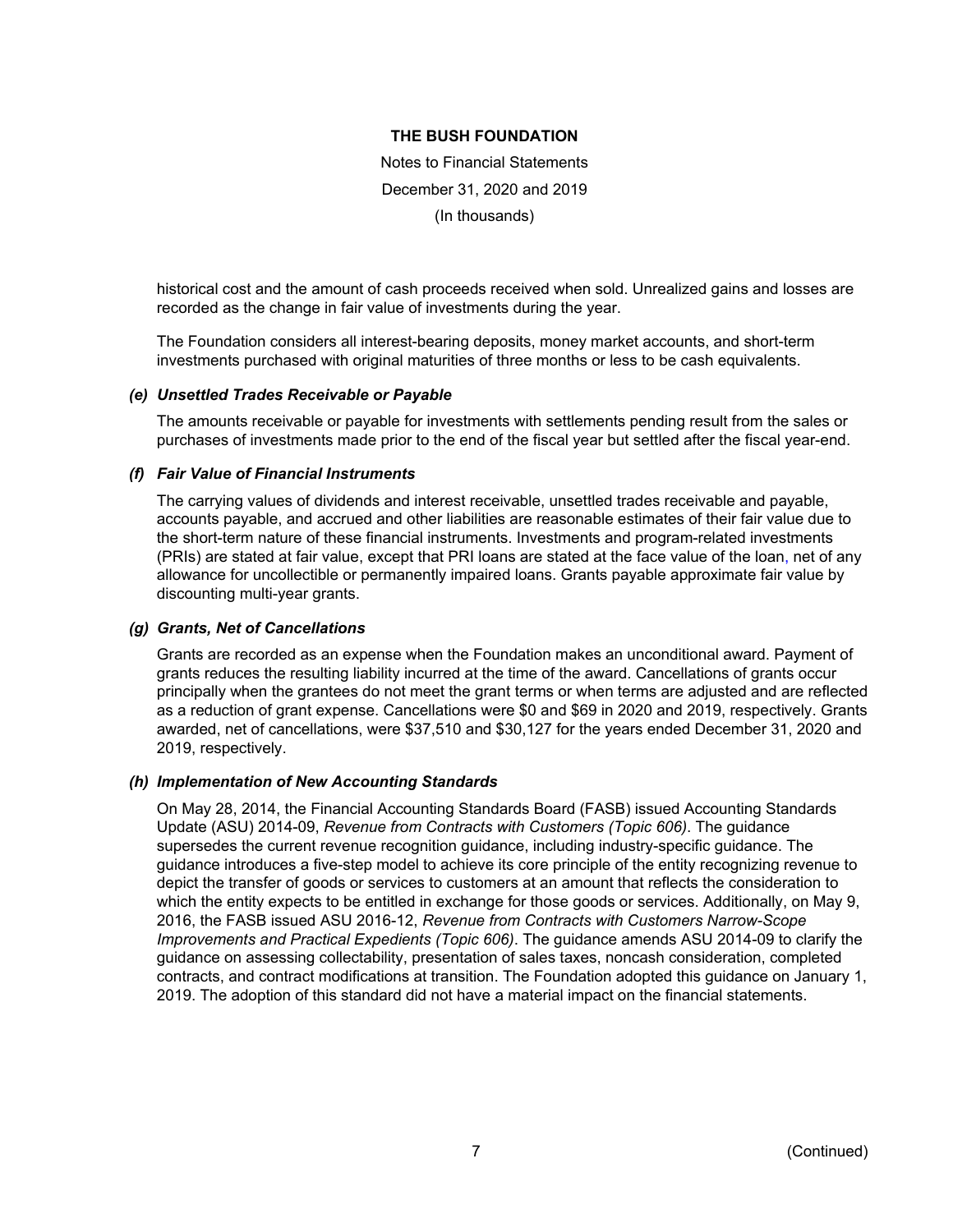Notes to Financial Statements December 31, 2020 and 2019 (In thousands)

historical cost and the amount of cash proceeds received when sold. Unrealized gains and losses are recorded as the change in fair value of investments during the year.

The Foundation considers all interest-bearing deposits, money market accounts, and short-term investments purchased with original maturities of three months or less to be cash equivalents.

#### *(e) Unsettled Trades Receivable or Payable*

The amounts receivable or payable for investments with settlements pending result from the sales or purchases of investments made prior to the end of the fiscal year but settled after the fiscal year-end.

#### *(f) Fair Value of Financial Instruments*

The carrying values of dividends and interest receivable, unsettled trades receivable and payable, accounts payable, and accrued and other liabilities are reasonable estimates of their fair value due to the short-term nature of these financial instruments. Investments and program-related investments (PRIs) are stated at fair value, except that PRI loans are stated at the face value of the loan, net of any allowance for uncollectible or permanently impaired loans. Grants payable approximate fair value by discounting multi-year grants.

### *(g) Grants, Net of Cancellations*

Grants are recorded as an expense when the Foundation makes an unconditional award. Payment of grants reduces the resulting liability incurred at the time of the award. Cancellations of grants occur principally when the grantees do not meet the grant terms or when terms are adjusted and are reflected as a reduction of grant expense. Cancellations were \$0 and \$69 in 2020 and 2019, respectively. Grants awarded, net of cancellations, were \$37,510 and \$30,127 for the years ended December 31, 2020 and 2019, respectively.

### *(h) Implementation of New Accounting Standards*

On May 28, 2014, the Financial Accounting Standards Board (FASB) issued Accounting Standards Update (ASU) 2014-09, *Revenue from Contracts with Customers (Topic 606)*. The guidance supersedes the current revenue recognition guidance, including industry-specific guidance. The guidance introduces a five-step model to achieve its core principle of the entity recognizing revenue to depict the transfer of goods or services to customers at an amount that reflects the consideration to which the entity expects to be entitled in exchange for those goods or services. Additionally, on May 9, 2016, the FASB issued ASU 2016-12, *Revenue from Contracts with Customers Narrow-Scope Improvements and Practical Expedients (Topic 606)*. The guidance amends ASU 2014-09 to clarify the guidance on assessing collectability, presentation of sales taxes, noncash consideration, completed contracts, and contract modifications at transition. The Foundation adopted this guidance on January 1, 2019. The adoption of this standard did not have a material impact on the financial statements.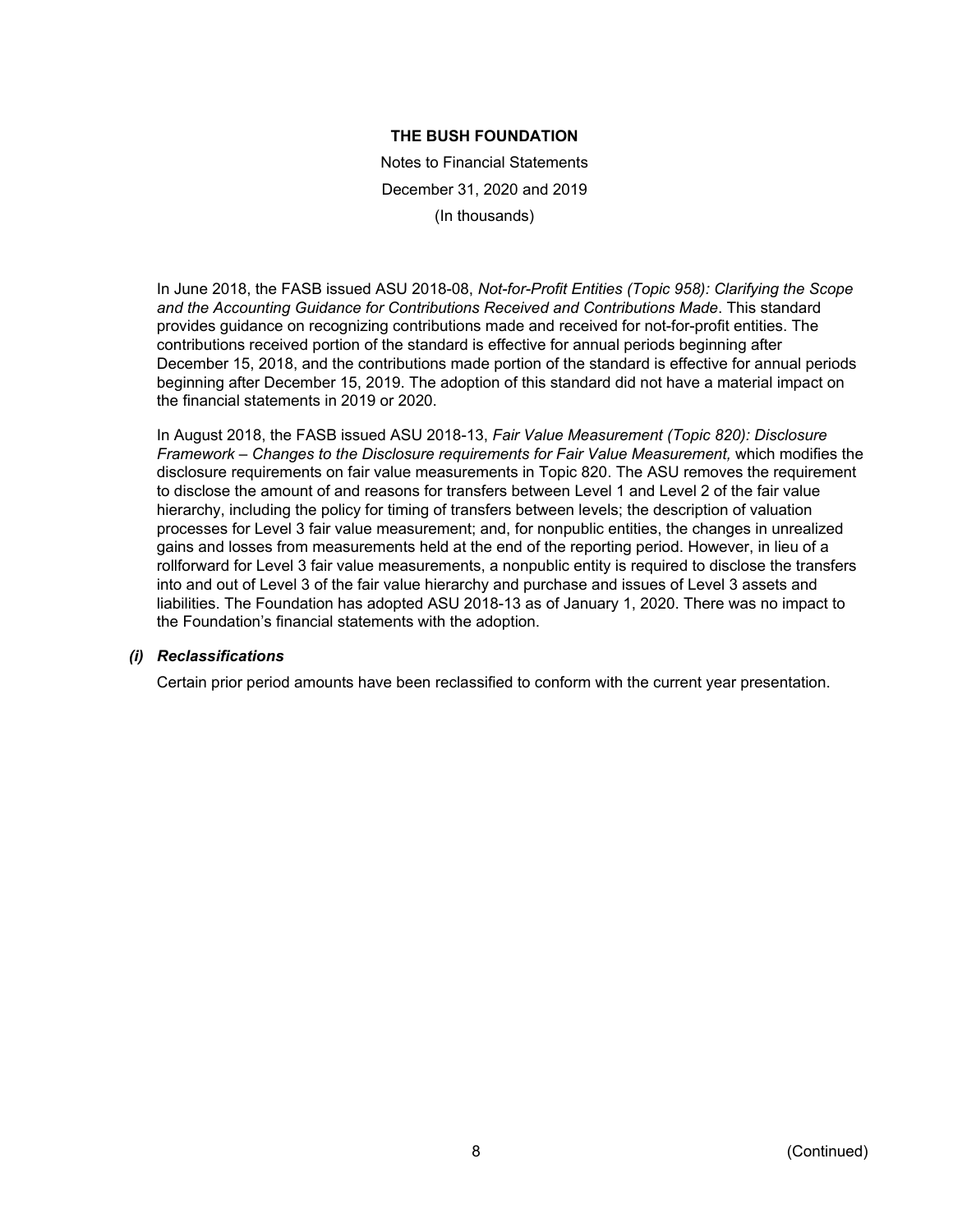Notes to Financial Statements December 31, 2020 and 2019 (In thousands)

In June 2018, the FASB issued ASU 2018-08, *Not-for-Profit Entities (Topic 958): Clarifying the Scope and the Accounting Guidance for Contributions Received and Contributions Made*. This standard provides guidance on recognizing contributions made and received for not-for-profit entities. The contributions received portion of the standard is effective for annual periods beginning after December 15, 2018, and the contributions made portion of the standard is effective for annual periods beginning after December 15, 2019. The adoption of this standard did not have a material impact on the financial statements in 2019 or 2020.

In August 2018, the FASB issued ASU 2018-13, *Fair Value Measurement (Topic 820): Disclosure Framework – Changes to the Disclosure requirements for Fair Value Measurement,* which modifies the disclosure requirements on fair value measurements in Topic 820. The ASU removes the requirement to disclose the amount of and reasons for transfers between Level 1 and Level 2 of the fair value hierarchy, including the policy for timing of transfers between levels; the description of valuation processes for Level 3 fair value measurement; and, for nonpublic entities, the changes in unrealized gains and losses from measurements held at the end of the reporting period. However, in lieu of a rollforward for Level 3 fair value measurements, a nonpublic entity is required to disclose the transfers into and out of Level 3 of the fair value hierarchy and purchase and issues of Level 3 assets and liabilities. The Foundation has adopted ASU 2018-13 as of January 1, 2020. There was no impact to the Foundation's financial statements with the adoption.

### *(i) Reclassifications*

Certain prior period amounts have been reclassified to conform with the current year presentation.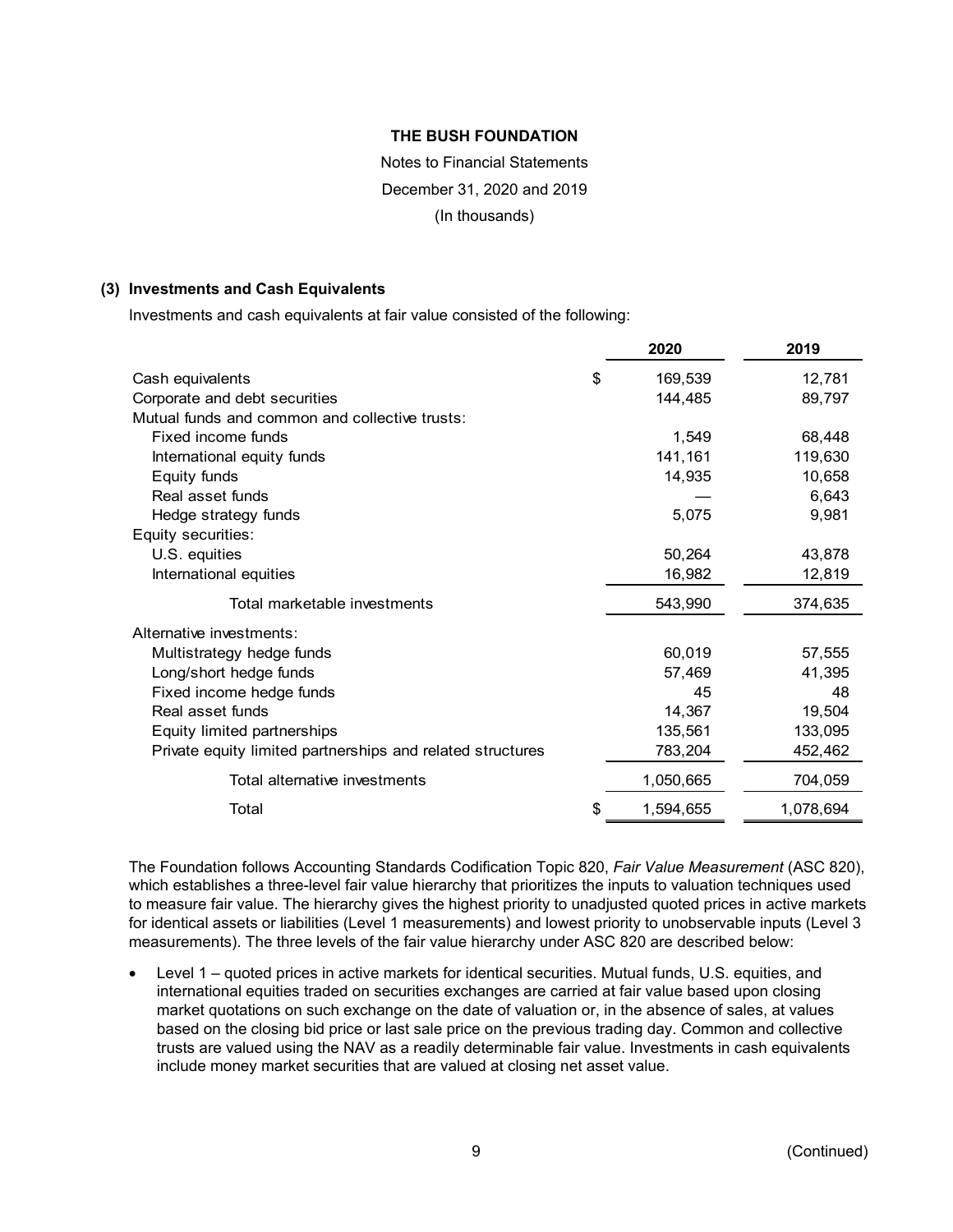# Notes to Financial Statements December 31, 2020 and 2019 (In thousands)

### **(3) Investments and Cash Equivalents**

Investments and cash equivalents at fair value consisted of the following:

|                                                            | 2020            | 2019      |
|------------------------------------------------------------|-----------------|-----------|
| Cash equivalents                                           | \$<br>169,539   | 12,781    |
| Corporate and debt securities                              | 144,485         | 89,797    |
| Mutual funds and common and collective trusts:             |                 |           |
| Fixed income funds                                         | 1,549           | 68,448    |
| International equity funds                                 | 141,161         | 119,630   |
| Equity funds                                               | 14,935          | 10,658    |
| Real asset funds                                           |                 | 6,643     |
| Hedge strategy funds                                       | 5,075           | 9,981     |
| Equity securities:                                         |                 |           |
| U.S. equities                                              | 50,264          | 43,878    |
| International equities                                     | 16,982          | 12,819    |
| Total marketable investments                               | 543,990         | 374,635   |
| Alternative investments:                                   |                 |           |
| Multistrategy hedge funds                                  | 60,019          | 57,555    |
| Long/short hedge funds                                     | 57,469          | 41,395    |
| Fixed income hedge funds                                   | 45              | 48        |
| Real asset funds                                           | 14,367          | 19,504    |
| Equity limited partnerships                                | 135,561         | 133,095   |
| Private equity limited partnerships and related structures | 783,204         | 452,462   |
| Total alternative investments                              | 1,050,665       | 704,059   |
| Total                                                      | \$<br>1,594,655 | 1,078,694 |

The Foundation follows Accounting Standards Codification Topic 820, *Fair Value Measurement* (ASC 820), which establishes a three-level fair value hierarchy that prioritizes the inputs to valuation techniques used to measure fair value. The hierarchy gives the highest priority to unadjusted quoted prices in active markets for identical assets or liabilities (Level 1 measurements) and lowest priority to unobservable inputs (Level 3 measurements). The three levels of the fair value hierarchy under ASC 820 are described below:

• Level 1 – quoted prices in active markets for identical securities. Mutual funds, U.S. equities, and international equities traded on securities exchanges are carried at fair value based upon closing market quotations on such exchange on the date of valuation or, in the absence of sales, at values based on the closing bid price or last sale price on the previous trading day. Common and collective trusts are valued using the NAV as a readily determinable fair value. Investments in cash equivalents include money market securities that are valued at closing net asset value.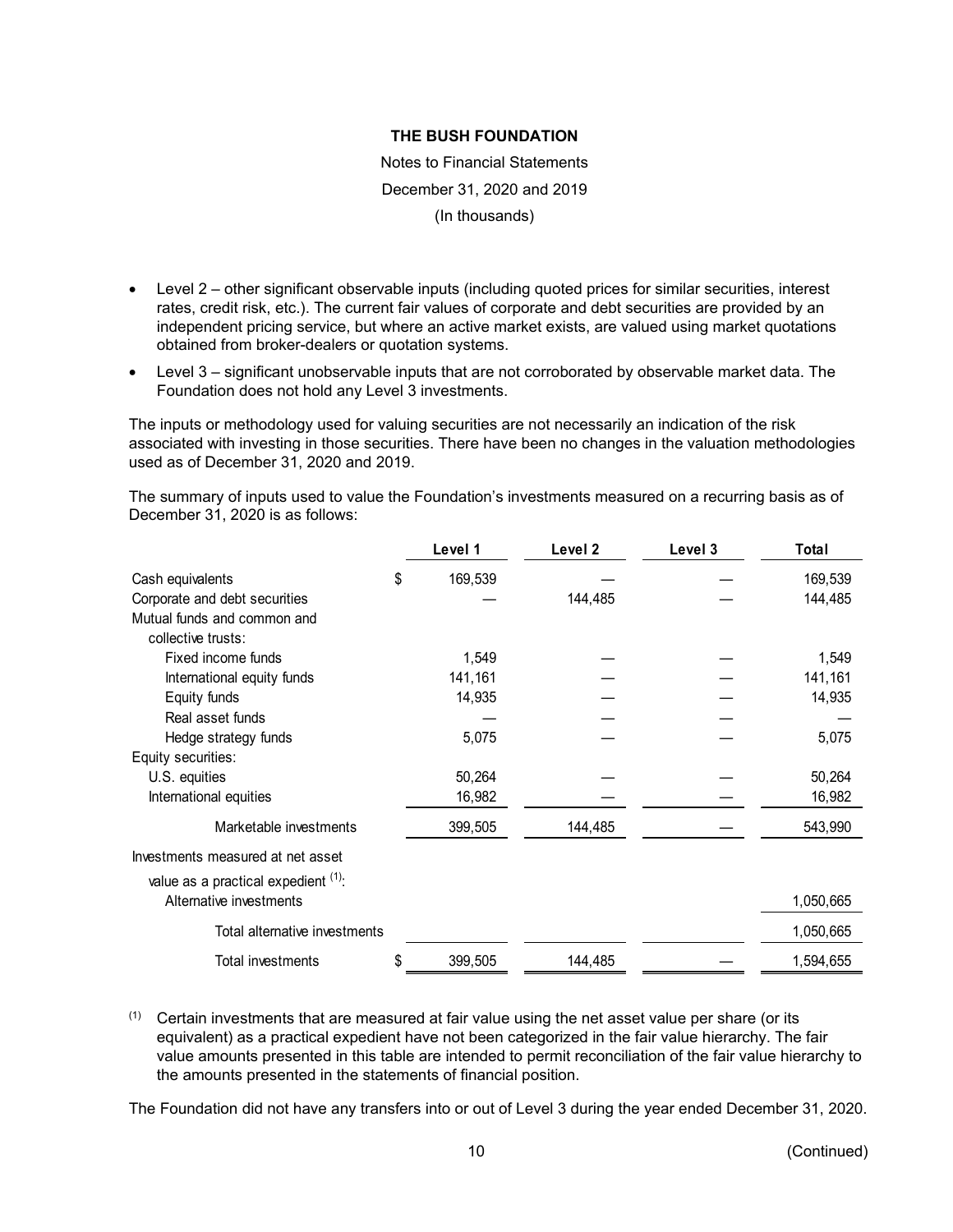Notes to Financial Statements December 31, 2020 and 2019 (In thousands)

- Level 2 other significant observable inputs (including quoted prices for similar securities, interest rates, credit risk, etc.). The current fair values of corporate and debt securities are provided by an independent pricing service, but where an active market exists, are valued using market quotations obtained from broker-dealers or quotation systems.
- Level 3 significant unobservable inputs that are not corroborated by observable market data. The Foundation does not hold any Level 3 investments.

The inputs or methodology used for valuing securities are not necessarily an indication of the risk associated with investing in those securities. There have been no changes in the valuation methodologies used as of December 31, 2020 and 2019.

The summary of inputs used to value the Foundation's investments measured on a recurring basis as of December 31, 2020 is as follows:

|                                        |    | Level 1 | Level 2 | Level 3 | Total     |
|----------------------------------------|----|---------|---------|---------|-----------|
| Cash equivalents                       | \$ | 169,539 |         |         | 169,539   |
| Corporate and debt securities          |    |         | 144,485 |         | 144,485   |
| Mutual funds and common and            |    |         |         |         |           |
| collective trusts:                     |    |         |         |         |           |
| Fixed income funds                     |    | 1,549   |         |         | 1,549     |
| International equity funds             |    | 141,161 |         |         | 141,161   |
| Equity funds                           |    | 14,935  |         |         | 14,935    |
| Real asset funds                       |    |         |         |         |           |
| Hedge strategy funds                   |    | 5,075   |         |         | 5,075     |
| Equity securities:                     |    |         |         |         |           |
| U.S. equities                          |    | 50,264  |         |         | 50,264    |
| International equities                 |    | 16,982  |         |         | 16,982    |
| Marketable investments                 |    | 399,505 | 144,485 |         | 543,990   |
| Investments measured at net asset      |    |         |         |         |           |
| value as a practical expedient $(1)$ . |    |         |         |         |           |
| Alternative investments                |    |         |         |         | 1,050,665 |
| Total alternative investments          |    |         |         |         | 1,050,665 |
| Total investments                      | S  | 399,505 | 144,485 |         | 1,594,655 |

 $(1)$  Certain investments that are measured at fair value using the net asset value per share (or its equivalent) as a practical expedient have not been categorized in the fair value hierarchy. The fair value amounts presented in this table are intended to permit reconciliation of the fair value hierarchy to the amounts presented in the statements of financial position.

The Foundation did not have any transfers into or out of Level 3 during the year ended December 31, 2020.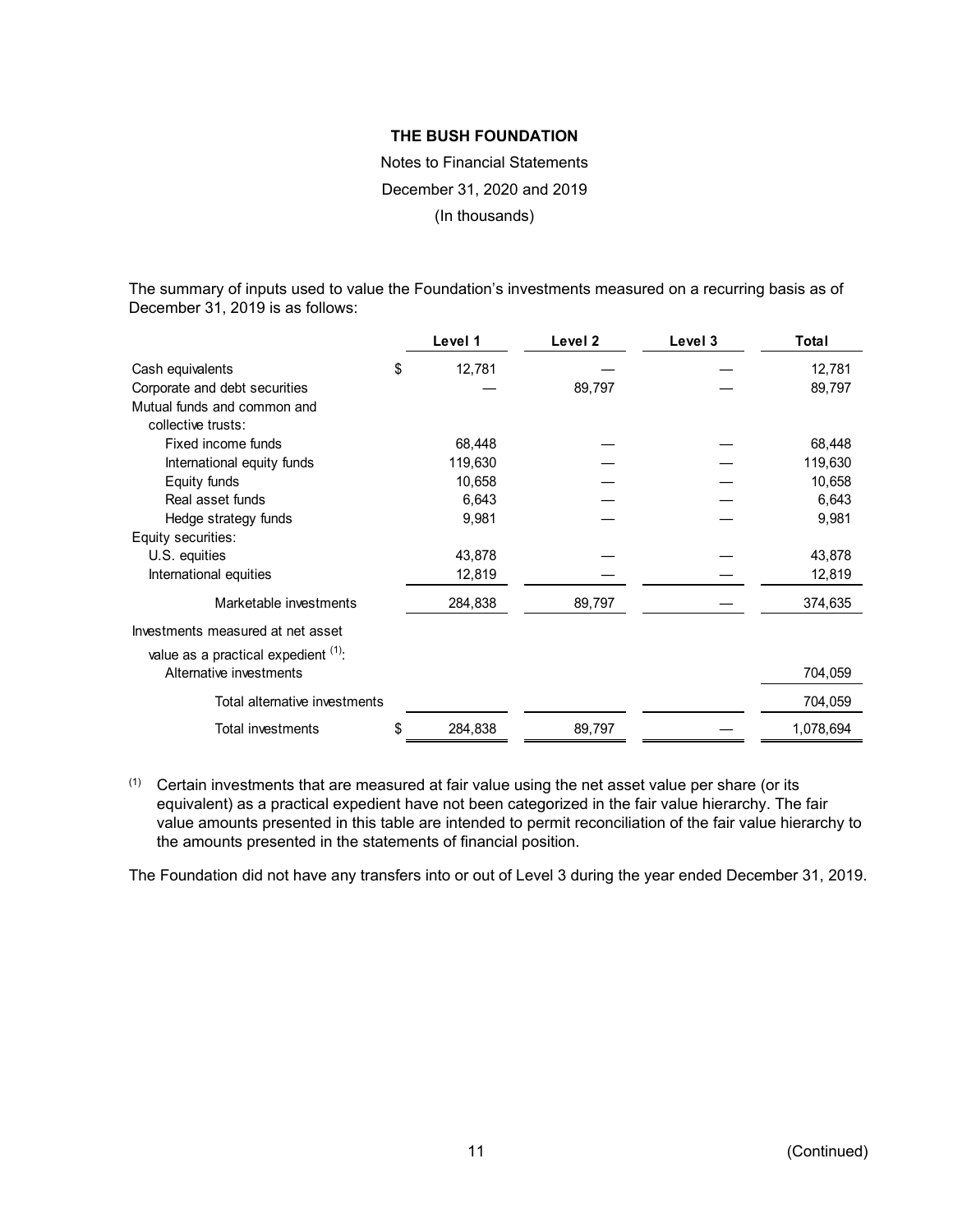Notes to Financial Statements December 31, 2020 and 2019 (In thousands)

The summary of inputs used to value the Foundation's investments measured on a recurring basis as of December 31, 2019 is as follows:

|                                     |    | Level 1 | Level 2 | Level 3 | <b>Total</b> |
|-------------------------------------|----|---------|---------|---------|--------------|
| Cash equivalents                    | \$ | 12,781  |         |         | 12,781       |
| Corporate and debt securities       |    |         | 89,797  |         | 89,797       |
| Mutual funds and common and         |    |         |         |         |              |
| collective trusts:                  |    |         |         |         |              |
| Fixed income funds                  |    | 68,448  |         |         | 68,448       |
| International equity funds          |    | 119,630 |         |         | 119,630      |
| Equity funds                        |    | 10,658  |         |         | 10,658       |
| Real asset funds                    |    | 6,643   |         |         | 6,643        |
| Hedge strategy funds                |    | 9,981   |         |         | 9,981        |
| Equity securities:                  |    |         |         |         |              |
| U.S. equities                       |    | 43,878  |         |         | 43,878       |
| International equities              |    | 12,819  |         |         | 12,819       |
| Marketable investments              |    | 284,838 | 89,797  |         | 374,635      |
| Investments measured at net asset   |    |         |         |         |              |
| value as a practical expedient (1). |    |         |         |         |              |
| Alternative investments             |    |         |         |         | 704,059      |
| Total alternative investments       |    |         |         |         | 704,059      |
| Total investments                   | S. | 284,838 | 89,797  |         | 1,078,694    |

(1) Certain investments that are measured at fair value using the net asset value per share (or its equivalent) as a practical expedient have not been categorized in the fair value hierarchy. The fair value amounts presented in this table are intended to permit reconciliation of the fair value hierarchy to the amounts presented in the statements of financial position.

The Foundation did not have any transfers into or out of Level 3 during the year ended December 31, 2019.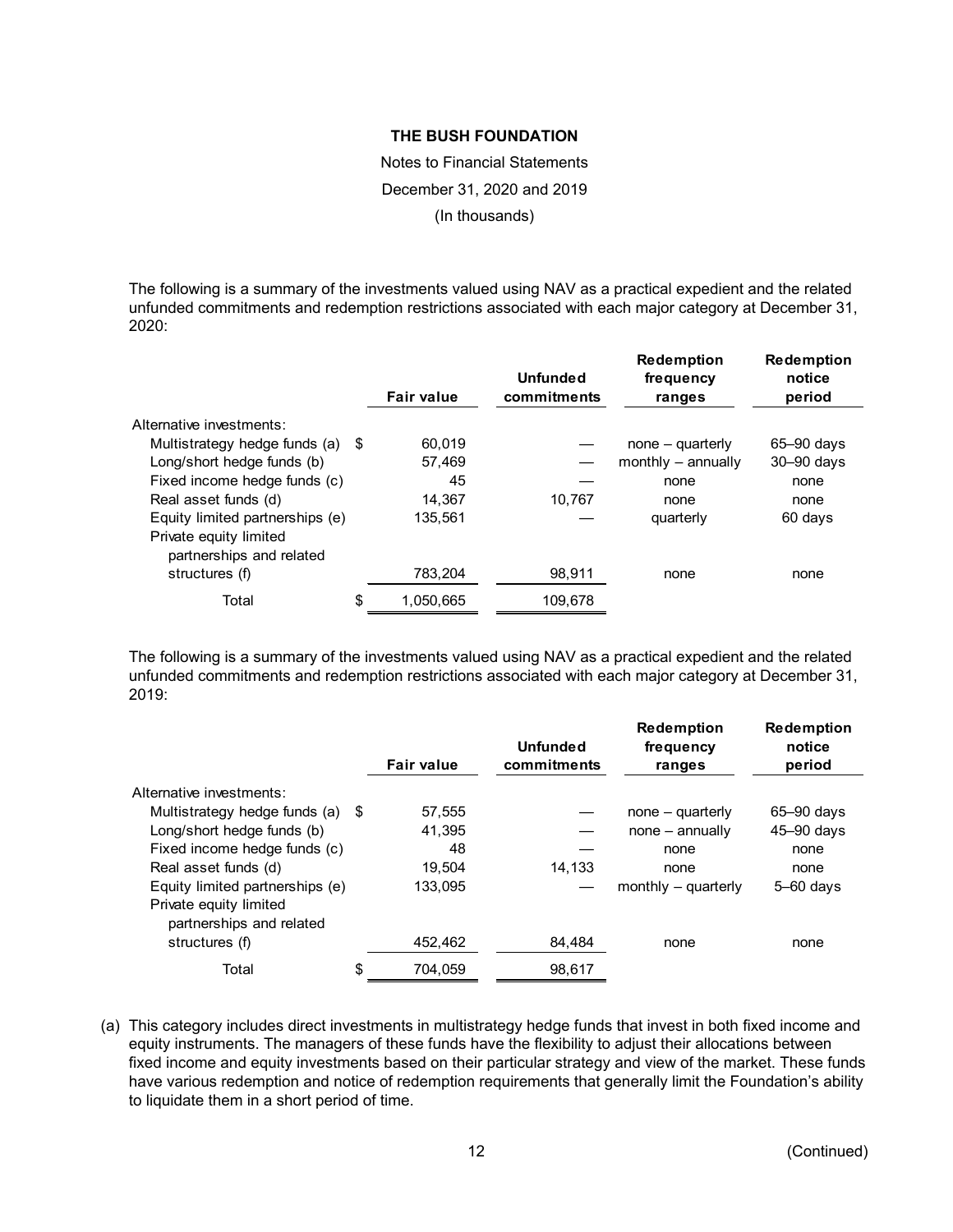Notes to Financial Statements December 31, 2020 and 2019 (In thousands)

The following is a summary of the investments valued using NAV as a practical expedient and the related unfunded commitments and redemption restrictions associated with each major category at December 31, 2020:

|                                                    | <b>Fair value</b> | Unfunded<br>commitments | <b>Redemption</b><br>frequency<br>ranges | <b>Redemption</b><br>notice<br>period |
|----------------------------------------------------|-------------------|-------------------------|------------------------------------------|---------------------------------------|
| Alternative investments:                           |                   |                         |                                          |                                       |
| Multistrategy hedge funds (a) \$                   | 60.019            |                         | $none - quarterly$                       | $65 - 90$ days                        |
| Long/short hedge funds (b)                         | 57.469            |                         | monthly $-$ annually                     | $30 - 90$ days                        |
| Fixed income hedge funds (c)                       | 45                |                         | none                                     | none                                  |
| Real asset funds (d)                               | 14.367            | 10,767                  | none                                     | none                                  |
| Equity limited partnerships (e)                    | 135.561           |                         | quarterly                                | 60 days                               |
| Private equity limited<br>partnerships and related |                   |                         |                                          |                                       |
| structures (f)                                     | 783,204           | 98,911                  | none                                     | none                                  |
| Total                                              | \$<br>1,050,665   | 109,678                 |                                          |                                       |

The following is a summary of the investments valued using NAV as a practical expedient and the related unfunded commitments and redemption restrictions associated with each major category at December 31, 2019:

|                                                    |      | <b>Fair value</b> | <b>Unfunded</b><br>commitments | <b>Redemption</b><br>frequency<br>ranges | <b>Redemption</b><br>notice<br>period |
|----------------------------------------------------|------|-------------------|--------------------------------|------------------------------------------|---------------------------------------|
| Alternative investments:                           |      |                   |                                |                                          |                                       |
| Multistrategy hedge funds (a)                      | - \$ | 57,555            |                                | $none - quarterly$                       | 65-90 days                            |
| Long/short hedge funds (b)                         |      | 41.395            |                                | $none - annually$                        | $45 - 90$ days                        |
| Fixed income hedge funds (c)                       |      | 48                |                                | none                                     | none                                  |
| Real asset funds (d)                               |      | 19.504            | 14.133                         | none                                     | none                                  |
| Equity limited partnerships (e)                    |      | 133.095           |                                | monthly $-$ quarterly                    | $5 - 60$ days                         |
| Private equity limited<br>partnerships and related |      |                   |                                |                                          |                                       |
| structures (f)                                     |      | 452.462           | 84.484                         | none                                     | none                                  |
| Total                                              | \$   | 704.059           | 98,617                         |                                          |                                       |

(a) This category includes direct investments in multistrategy hedge funds that invest in both fixed income and equity instruments. The managers of these funds have the flexibility to adjust their allocations between fixed income and equity investments based on their particular strategy and view of the market. These funds have various redemption and notice of redemption requirements that generally limit the Foundation's ability to liquidate them in a short period of time.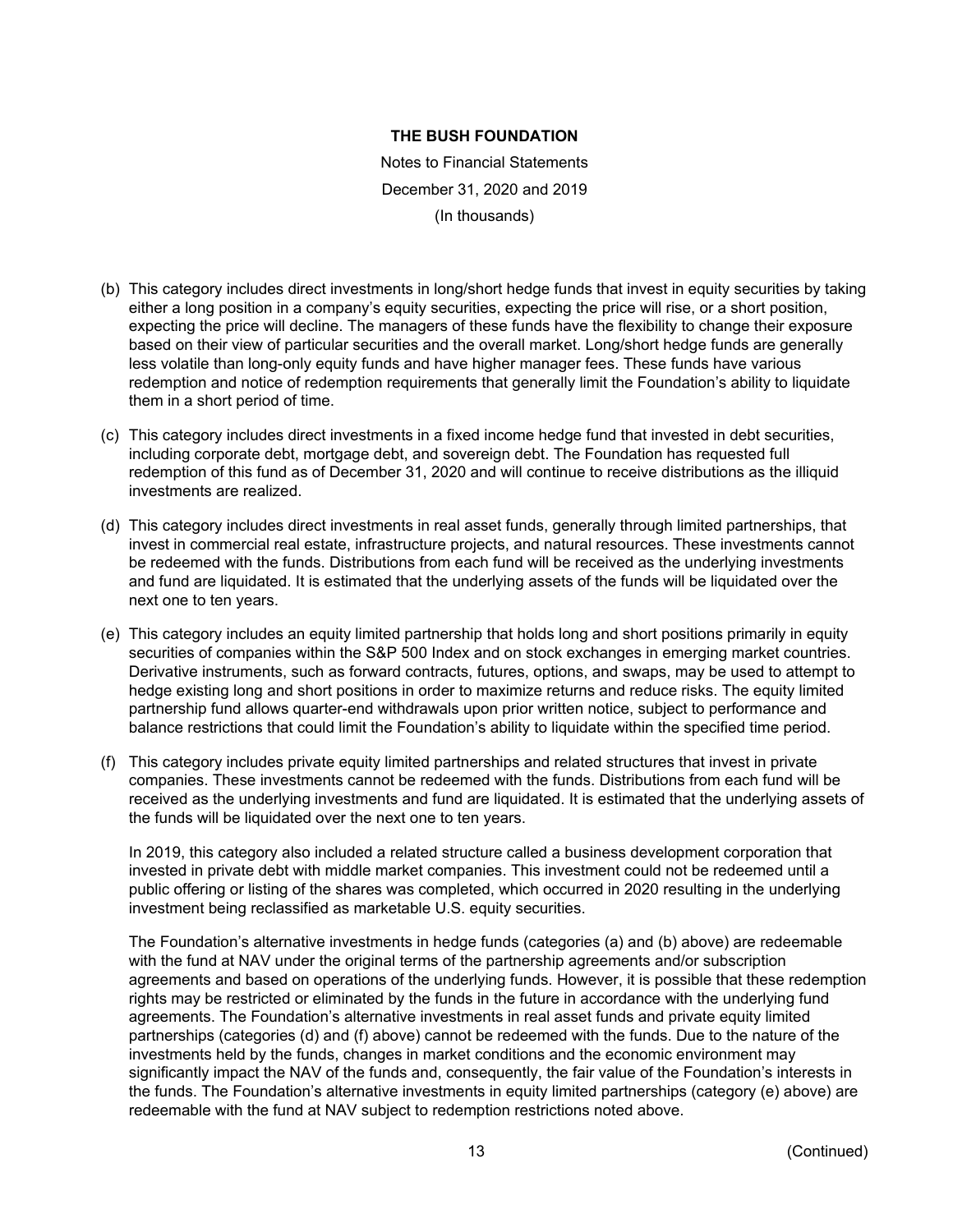Notes to Financial Statements December 31, 2020 and 2019 (In thousands)

- (b) This category includes direct investments in long/short hedge funds that invest in equity securities by taking either a long position in a company's equity securities, expecting the price will rise, or a short position, expecting the price will decline. The managers of these funds have the flexibility to change their exposure based on their view of particular securities and the overall market. Long/short hedge funds are generally less volatile than long-only equity funds and have higher manager fees. These funds have various redemption and notice of redemption requirements that generally limit the Foundation's ability to liquidate them in a short period of time.
- (c) This category includes direct investments in a fixed income hedge fund that invested in debt securities, including corporate debt, mortgage debt, and sovereign debt. The Foundation has requested full redemption of this fund as of December 31, 2020 and will continue to receive distributions as the illiquid investments are realized.
- (d) This category includes direct investments in real asset funds, generally through limited partnerships, that invest in commercial real estate, infrastructure projects, and natural resources. These investments cannot be redeemed with the funds. Distributions from each fund will be received as the underlying investments and fund are liquidated. It is estimated that the underlying assets of the funds will be liquidated over the next one to ten years.
- (e) This category includes an equity limited partnership that holds long and short positions primarily in equity securities of companies within the S&P 500 Index and on stock exchanges in emerging market countries. Derivative instruments, such as forward contracts, futures, options, and swaps, may be used to attempt to hedge existing long and short positions in order to maximize returns and reduce risks. The equity limited partnership fund allows quarter-end withdrawals upon prior written notice, subject to performance and balance restrictions that could limit the Foundation's ability to liquidate within the specified time period.
- (f) This category includes private equity limited partnerships and related structures that invest in private companies. These investments cannot be redeemed with the funds. Distributions from each fund will be received as the underlying investments and fund are liquidated. It is estimated that the underlying assets of the funds will be liquidated over the next one to ten years.

In 2019, this category also included a related structure called a business development corporation that invested in private debt with middle market companies. This investment could not be redeemed until a public offering or listing of the shares was completed, which occurred in 2020 resulting in the underlying investment being reclassified as marketable U.S. equity securities.

The Foundation's alternative investments in hedge funds (categories (a) and (b) above) are redeemable with the fund at NAV under the original terms of the partnership agreements and/or subscription agreements and based on operations of the underlying funds. However, it is possible that these redemption rights may be restricted or eliminated by the funds in the future in accordance with the underlying fund agreements. The Foundation's alternative investments in real asset funds and private equity limited partnerships (categories (d) and (f) above) cannot be redeemed with the funds. Due to the nature of the investments held by the funds, changes in market conditions and the economic environment may significantly impact the NAV of the funds and, consequently, the fair value of the Foundation's interests in the funds. The Foundation's alternative investments in equity limited partnerships (category (e) above) are redeemable with the fund at NAV subject to redemption restrictions noted above.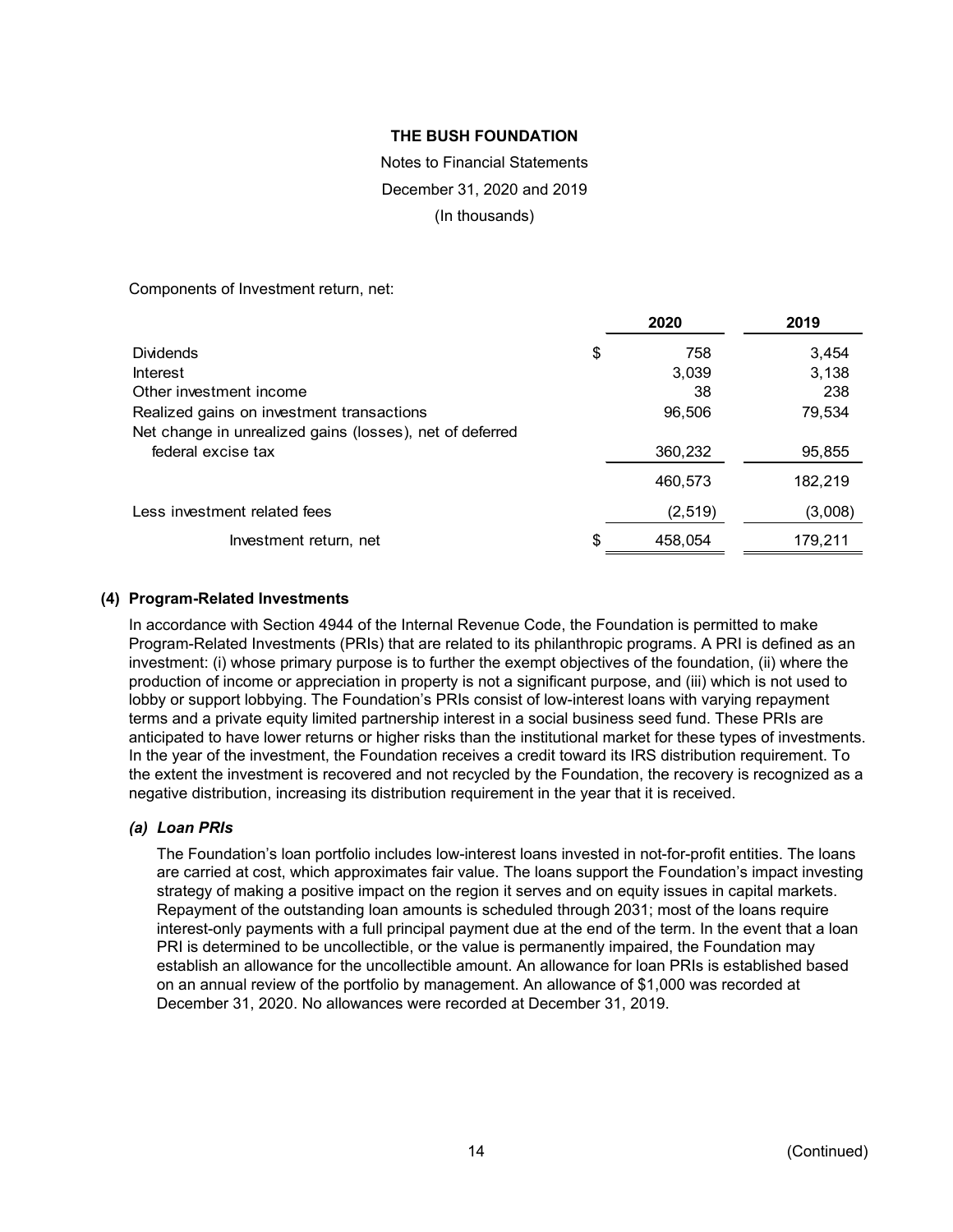# Notes to Financial Statements December 31, 2020 and 2019

(In thousands)

Components of Investment return, net:

|                                                                                | 2020          | 2019    |
|--------------------------------------------------------------------------------|---------------|---------|
| <b>Dividends</b>                                                               | \$<br>758     | 3,454   |
| <b>Interest</b>                                                                | 3,039         | 3,138   |
| Other investment income                                                        | 38            | 238     |
| Realized gains on investment transactions                                      | 96,506        | 79,534  |
| Net change in unrealized gains (losses), net of deferred<br>federal excise tax | 360,232       | 95,855  |
|                                                                                | 460,573       | 182,219 |
| Less investment related fees                                                   | (2,519)       | (3,008) |
| Investment return, net                                                         | \$<br>458,054 | 179,211 |

### **(4) Program-Related Investments**

In accordance with Section 4944 of the Internal Revenue Code, the Foundation is permitted to make Program-Related Investments (PRIs) that are related to its philanthropic programs. A PRI is defined as an investment: (i) whose primary purpose is to further the exempt objectives of the foundation, (ii) where the production of income or appreciation in property is not a significant purpose, and (iii) which is not used to lobby or support lobbying. The Foundation's PRIs consist of low-interest loans with varying repayment terms and a private equity limited partnership interest in a social business seed fund. These PRIs are anticipated to have lower returns or higher risks than the institutional market for these types of investments. In the year of the investment, the Foundation receives a credit toward its IRS distribution requirement. To the extent the investment is recovered and not recycled by the Foundation, the recovery is recognized as a negative distribution, increasing its distribution requirement in the year that it is received.

# *(a) Loan PRIs*

The Foundation's loan portfolio includes low-interest loans invested in not-for-profit entities. The loans are carried at cost, which approximates fair value. The loans support the Foundation's impact investing strategy of making a positive impact on the region it serves and on equity issues in capital markets. Repayment of the outstanding loan amounts is scheduled through 2031; most of the loans require interest-only payments with a full principal payment due at the end of the term. In the event that a loan PRI is determined to be uncollectible, or the value is permanently impaired, the Foundation may establish an allowance for the uncollectible amount. An allowance for loan PRIs is established based on an annual review of the portfolio by management. An allowance of \$1,000 was recorded at December 31, 2020. No allowances were recorded at December 31, 2019.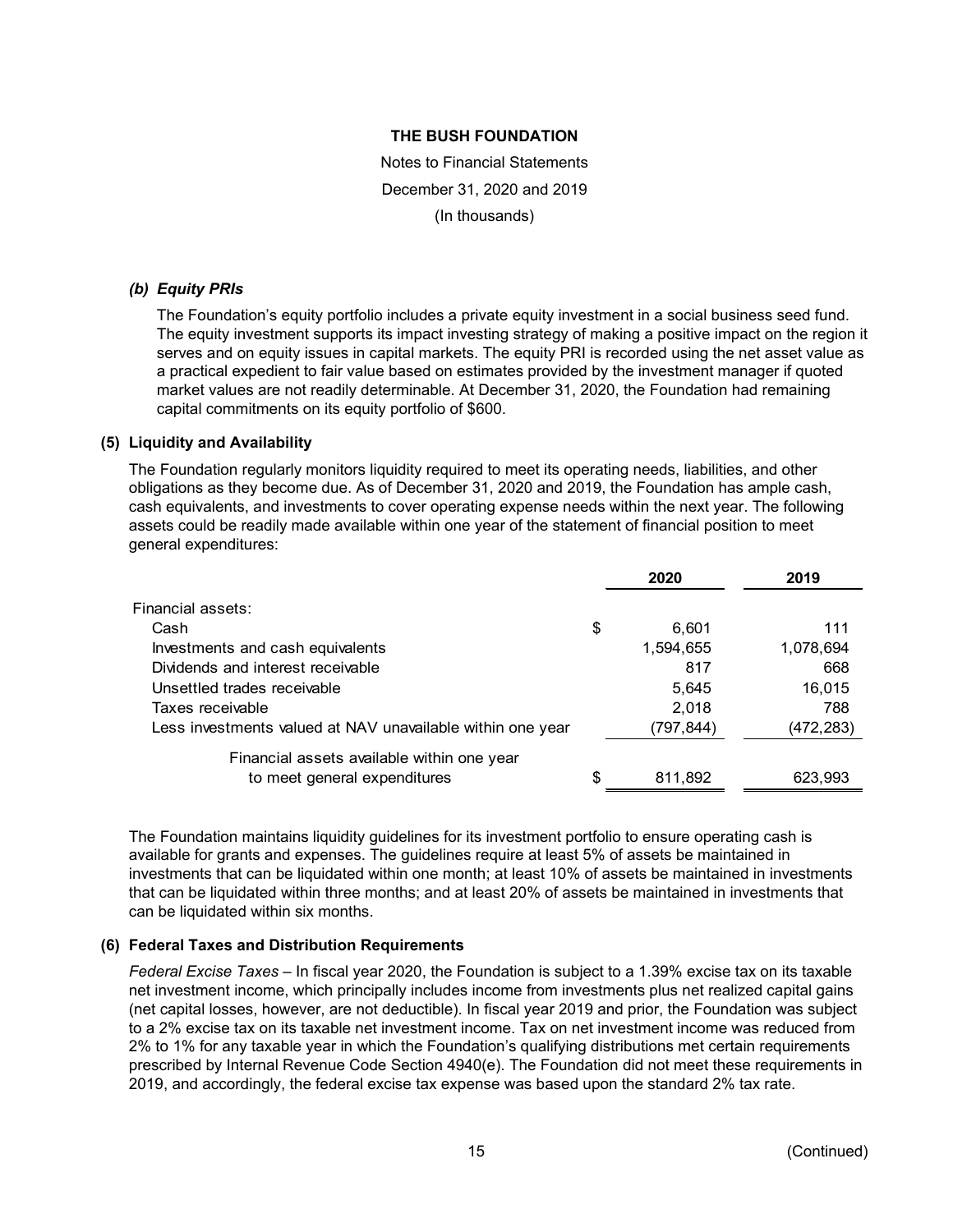Notes to Financial Statements December 31, 2020 and 2019 (In thousands)

### *(b) Equity PRIs*

The Foundation's equity portfolio includes a private equity investment in a social business seed fund. The equity investment supports its impact investing strategy of making a positive impact on the region it serves and on equity issues in capital markets. The equity PRI is recorded using the net asset value as a practical expedient to fair value based on estimates provided by the investment manager if quoted market values are not readily determinable. At December 31, 2020, the Foundation had remaining capital commitments on its equity portfolio of \$600.

### **(5) Liquidity and Availability**

The Foundation regularly monitors liquidity required to meet its operating needs, liabilities, and other obligations as they become due. As of December 31, 2020 and 2019, the Foundation has ample cash, cash equivalents, and investments to cover operating expense needs within the next year. The following assets could be readily made available within one year of the statement of financial position to meet general expenditures:

|                                                            | 2020          | 2019      |
|------------------------------------------------------------|---------------|-----------|
| Financial assets:                                          |               |           |
| Cash                                                       | \$<br>6.601   | 111       |
| Investments and cash equivalents                           | 1,594,655     | 1,078,694 |
| Dividends and interest receivable                          | 817           | 668       |
| Unsettled trades receivable                                | 5,645         | 16,015    |
| Taxes receivable                                           | 2,018         | 788       |
| Less investments valued at NAV unavailable within one year | (797,844)     | (472,283) |
| Financial assets available within one year                 |               |           |
| to meet general expenditures                               | \$<br>811,892 | 623,993   |

The Foundation maintains liquidity guidelines for its investment portfolio to ensure operating cash is available for grants and expenses. The guidelines require at least 5% of assets be maintained in investments that can be liquidated within one month; at least 10% of assets be maintained in investments that can be liquidated within three months; and at least 20% of assets be maintained in investments that can be liquidated within six months.

# **(6) Federal Taxes and Distribution Requirements**

*Federal Excise Taxes* – In fiscal year 2020, the Foundation is subject to a 1.39% excise tax on its taxable net investment income, which principally includes income from investments plus net realized capital gains (net capital losses, however, are not deductible). In fiscal year 2019 and prior, the Foundation was subject to a 2% excise tax on its taxable net investment income. Tax on net investment income was reduced from 2% to 1% for any taxable year in which the Foundation's qualifying distributions met certain requirements prescribed by Internal Revenue Code Section 4940(e). The Foundation did not meet these requirements in 2019, and accordingly, the federal excise tax expense was based upon the standard 2% tax rate.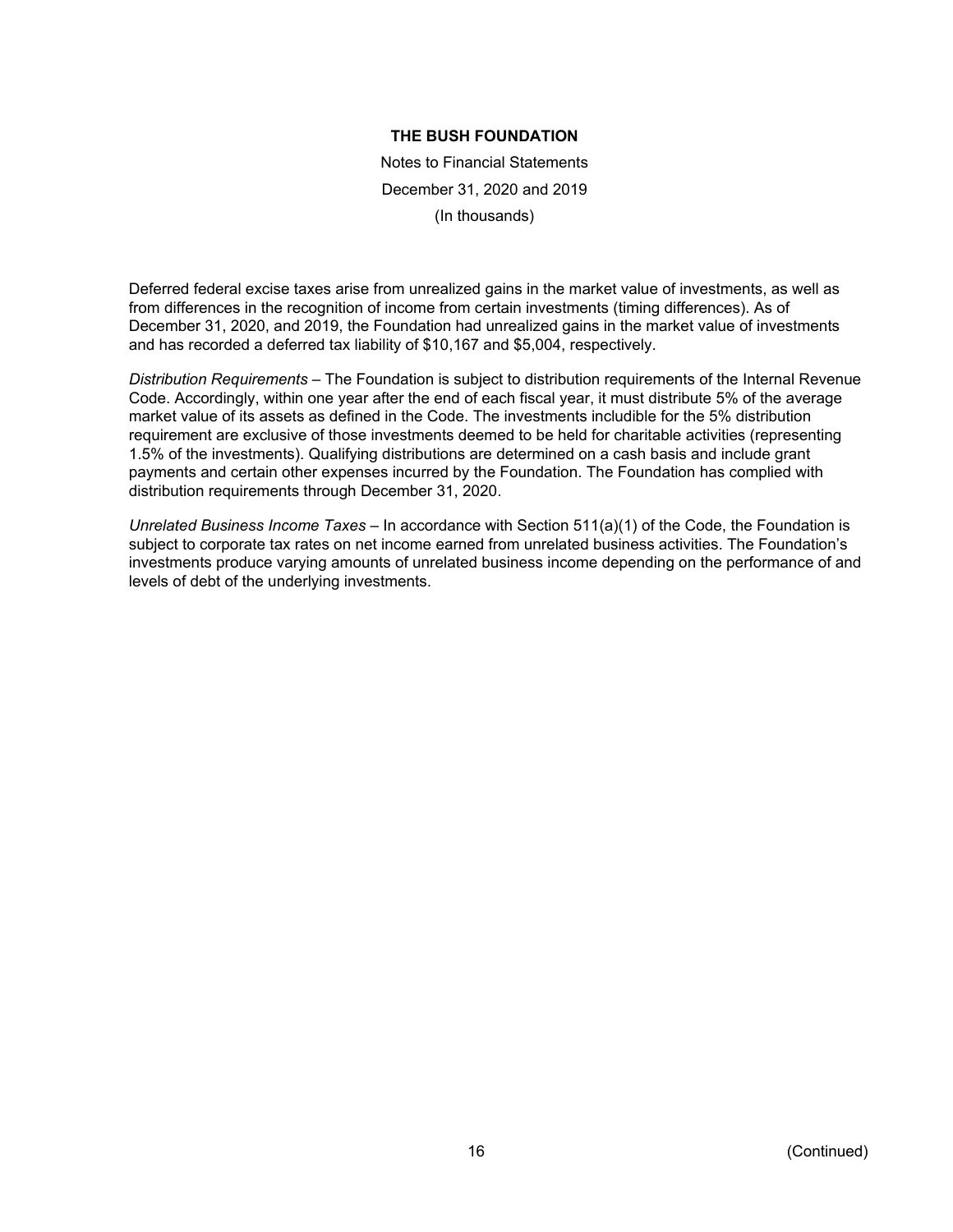Notes to Financial Statements December 31, 2020 and 2019 (In thousands)

Deferred federal excise taxes arise from unrealized gains in the market value of investments, as well as from differences in the recognition of income from certain investments (timing differences). As of December 31, 2020, and 2019, the Foundation had unrealized gains in the market value of investments and has recorded a deferred tax liability of \$10,167 and \$5,004, respectively.

*Distribution Requirements* – The Foundation is subject to distribution requirements of the Internal Revenue Code. Accordingly, within one year after the end of each fiscal year, it must distribute 5% of the average market value of its assets as defined in the Code. The investments includible for the 5% distribution requirement are exclusive of those investments deemed to be held for charitable activities (representing 1.5% of the investments). Qualifying distributions are determined on a cash basis and include grant payments and certain other expenses incurred by the Foundation. The Foundation has complied with distribution requirements through December 31, 2020.

*Unrelated Business Income Taxes* – In accordance with Section 511(a)(1) of the Code, the Foundation is subject to corporate tax rates on net income earned from unrelated business activities. The Foundation's investments produce varying amounts of unrelated business income depending on the performance of and levels of debt of the underlying investments.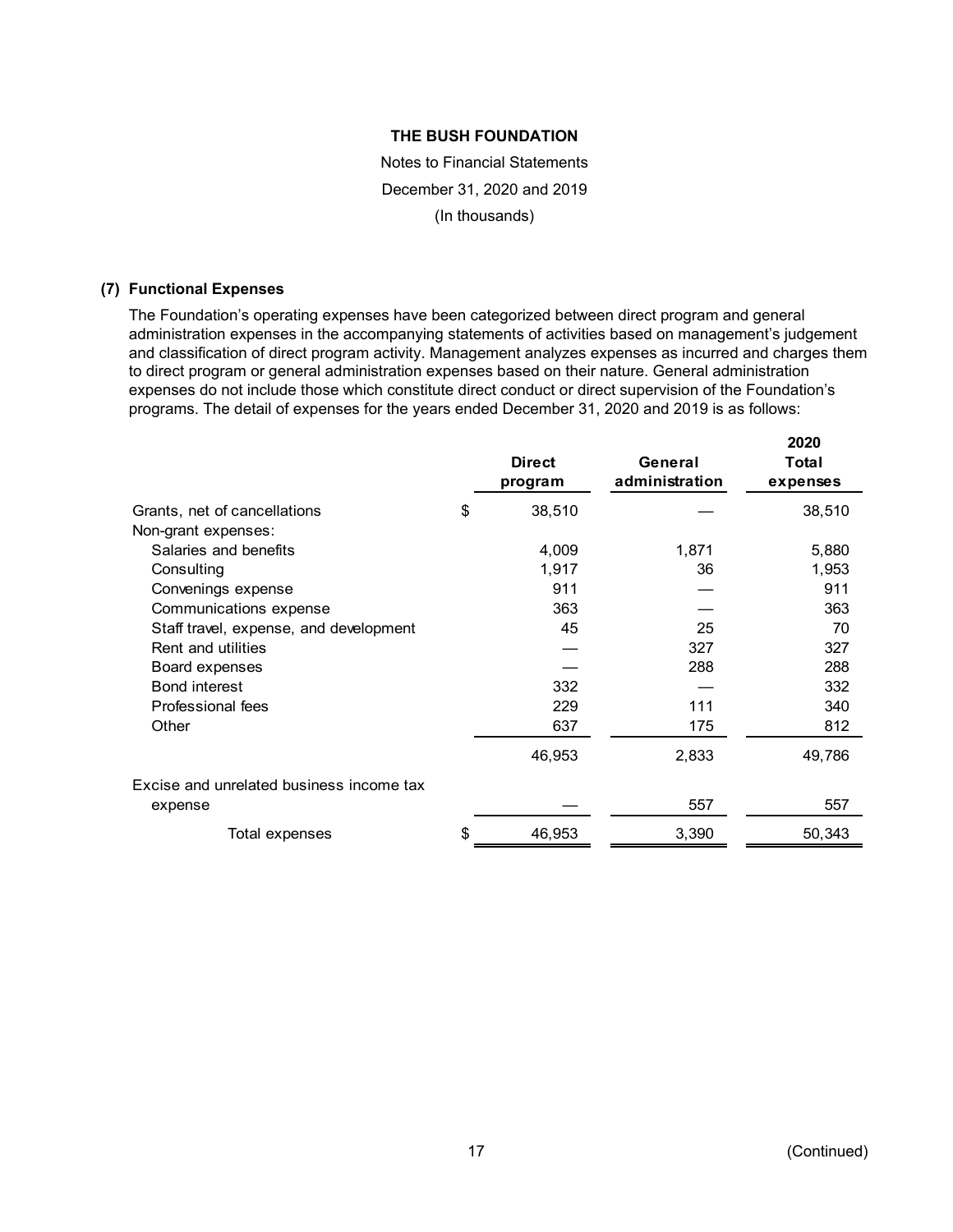Notes to Financial Statements December 31, 2020 and 2019 (In thousands)

#### **(7) Functional Expenses**

The Foundation's operating expenses have been categorized between direct program and general administration expenses in the accompanying statements of activities based on management's judgement and classification of direct program activity. Management analyzes expenses as incurred and charges them to direct program or general administration expenses based on their nature. General administration expenses do not include those which constitute direct conduct or direct supervision of the Foundation's programs. The detail of expenses for the years ended December 31, 2020 and 2019 is as follows:

|                                          | <b>Direct</b><br>program | General<br>administration | ZUZU<br>Total<br>expenses |
|------------------------------------------|--------------------------|---------------------------|---------------------------|
| Grants, net of cancellations             | \$<br>38,510             |                           | 38,510                    |
| Non-grant expenses:                      |                          |                           |                           |
| Salaries and benefits                    | 4,009                    | 1,871                     | 5,880                     |
| Consulting                               | 1,917                    | 36                        | 1,953                     |
| Convenings expense                       | 911                      |                           | 911                       |
| Communications expense                   | 363                      |                           | 363                       |
| Staff travel, expense, and development   | 45                       | 25                        | 70                        |
| Rent and utilities                       |                          | 327                       | 327                       |
| Board expenses                           |                          | 288                       | 288                       |
| <b>Bond interest</b>                     | 332                      |                           | 332                       |
| <b>Professional fees</b>                 | 229                      | 111                       | 340                       |
| Other                                    | 637                      | 175                       | 812                       |
|                                          | 46,953                   | 2,833                     | 49,786                    |
| Excise and unrelated business income tax |                          |                           |                           |
| expense                                  |                          | 557                       | 557                       |
| Total expenses                           | \$<br>46,953             | 3,390                     | 50,343                    |

**2020**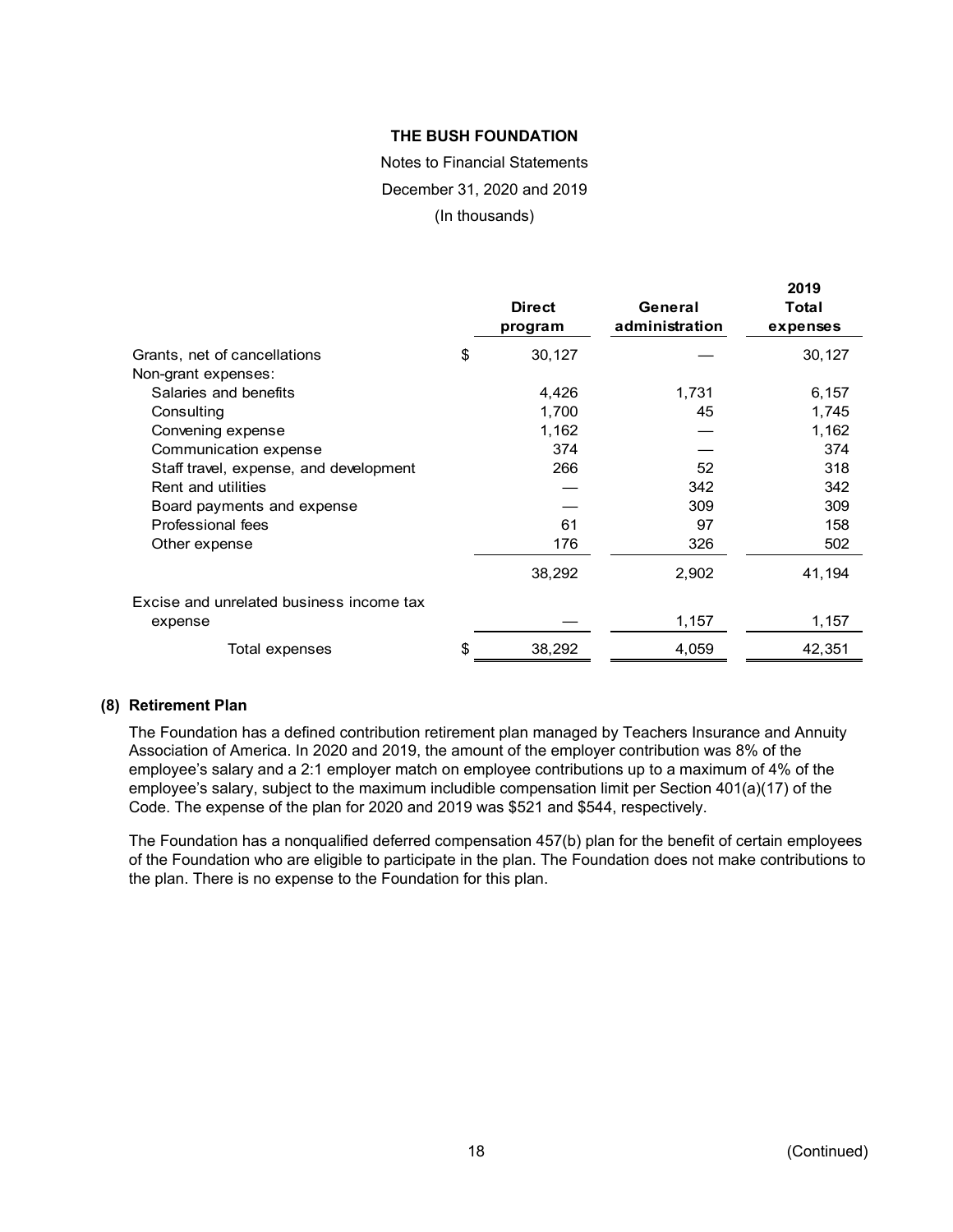# Notes to Financial Statements December 31, 2020 and 2019

(In thousands)

|                                          | <b>Direct</b><br>program | General<br>administration | 2019<br>Total<br>expenses |
|------------------------------------------|--------------------------|---------------------------|---------------------------|
| Grants, net of cancellations             | \$<br>30,127             |                           | 30,127                    |
| Non-grant expenses:                      |                          |                           |                           |
| Salaries and benefits                    | 4,426                    | 1,731                     | 6,157                     |
| Consulting                               | 1,700                    | 45                        | 1,745                     |
| Convening expense                        | 1,162                    |                           | 1,162                     |
| Communication expense                    | 374                      |                           | 374                       |
| Staff travel, expense, and development   | 266                      | 52                        | 318                       |
| Rent and utilities                       |                          | 342                       | 342                       |
| Board payments and expense               |                          | 309                       | 309                       |
| Professional fees                        | 61                       | 97                        | 158                       |
| Other expense                            | 176                      | 326                       | 502                       |
|                                          | 38,292                   | 2,902                     | 41,194                    |
| Excise and unrelated business income tax |                          |                           |                           |
| expense                                  |                          | 1,157                     | 1,157                     |
| Total expenses                           | \$<br>38,292             | 4,059                     | 42,351                    |

### **(8) Retirement Plan**

The Foundation has a defined contribution retirement plan managed by Teachers Insurance and Annuity Association of America. In 2020 and 2019, the amount of the employer contribution was 8% of the employee's salary and a 2:1 employer match on employee contributions up to a maximum of 4% of the employee's salary, subject to the maximum includible compensation limit per Section 401(a)(17) of the Code. The expense of the plan for 2020 and 2019 was \$521 and \$544, respectively.

The Foundation has a nonqualified deferred compensation 457(b) plan for the benefit of certain employees of the Foundation who are eligible to participate in the plan. The Foundation does not make contributions to the plan. There is no expense to the Foundation for this plan.